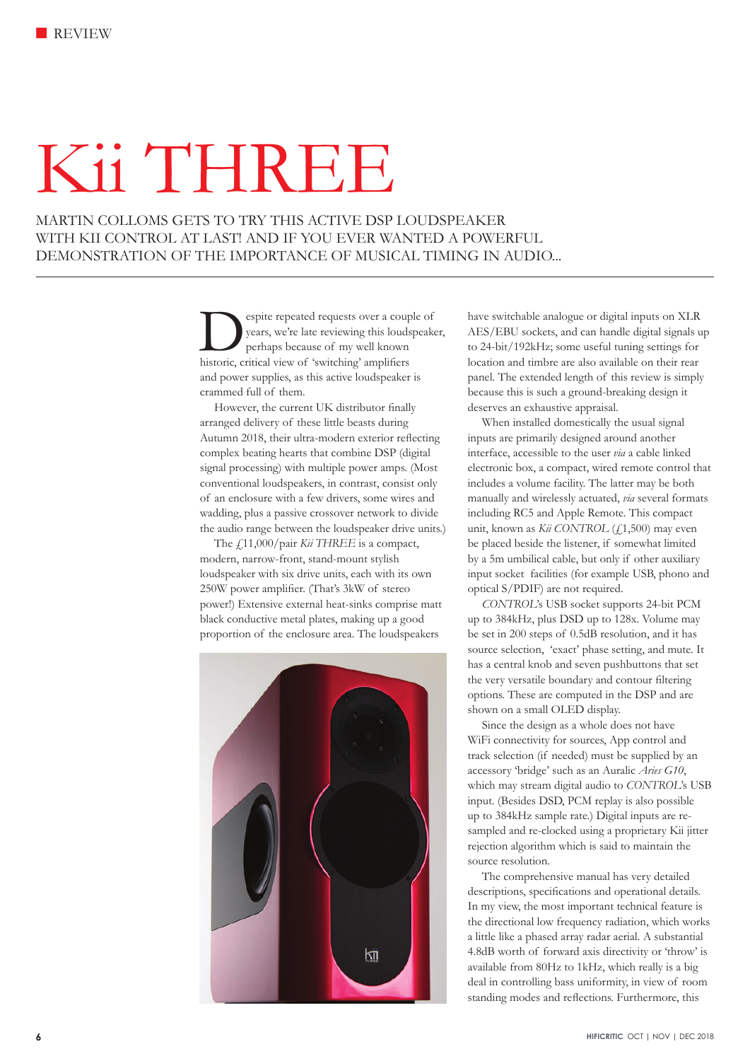# Kii THREE

MARTIN COLLOMS GETS TO TRY THIS ACTIVE DSP LOUDSPEAKER WITH KII CONTROL AT LAST! AND IF YOU EVER WANTED A POWERFUL DEMONSTRATION OF THE IMPORTANCE OF MUSICAL TIMING IN AUDIO...

> Sepite repeated requests over a couple of<br>years, we're late reviewing this loudspeak<br>perhaps because of my well known<br>historic critical view of 'switching' amplifiers years, we're late reviewing this loudspeaker, perhaps because of my well known historic, critical view of 'switching' amplifiers and power supplies, as this active loudspeaker is crammed full of them.

However, the current UK distributor finally arranged delivery of these little beasts during Autumn 2018, their ultra-modern exterior reflecting complex beating hearts that combine DSP (digital signal processing) with multiple power amps. (Most conventional loudspeakers, in contrast, consist only of an enclosure with a few drivers, some wires and wadding, plus a passive crossover network to divide the audio range between the loudspeaker drive units.)

The  $f_{.11,000/pair}$  *Kii THREE* is a compact, modern, narrow-front, stand-mount stylish loudspeaker with six drive units, each with its own 250W power amplifier. (That's 3kW of stereo power!) Extensive external heat-sinks comprise matt black conductive metal plates, making up a good proportion of the enclosure area. The loudspeakers



have switchable analogue or digital inputs on XLR AES/EBU sockets, and can handle digital signals up to 24-bit/192kHz; some useful tuning settings for location and timbre are also available on their rear panel. The extended length of this review is simply because this is such a ground-breaking design it deserves an exhaustive appraisal.

When installed domestically the usual signal inputs are primarily designed around another interface, accessible to the user *via* a cable linked electronic box, a compact, wired remote control that includes a volume facility. The latter may be both manually and wirelessly actuated, *via* several formats including RC5 and Apple Remote. This compact unit, known as *Kii CONTROL* (£1,500) may even be placed beside the listener, if somewhat limited by a 5m umbilical cable, but only if other auxiliary input socket facilities (for example USB, phono and optical S/PDIF) are not required.

*CONTROL*'s USB socket supports 24-bit PCM up to 384kHz, plus DSD up to 128x. Volume may be set in 200 steps of 0.5dB resolution, and it has source selection, 'exact' phase setting, and mute. It has a central knob and seven pushbuttons that set the very versatile boundary and contour filtering options. These are computed in the DSP and are shown on a small OLED display.

Since the design as a whole does not have WiFi connectivity for sources, App control and track selection (if needed) must be supplied by an accessory 'bridge' such as an Auralic *Aries G10*, which may stream digital audio to *CONTROL*'s USB input. (Besides DSD, PCM replay is also possible up to 384kHz sample rate.) Digital inputs are resampled and re-clocked using a proprietary Kii jitter rejection algorithm which is said to maintain the source resolution.

The comprehensive manual has very detailed descriptions, specifications and operational details. In my view, the most important technical feature is the directional low frequency radiation, which works a little like a phased array radar aerial. A substantial 4.8dB worth of forward axis directivity or 'throw' is available from 80Hz to 1kHz, which really is a big deal in controlling bass uniformity, in view of room standing modes and reflections. Furthermore, this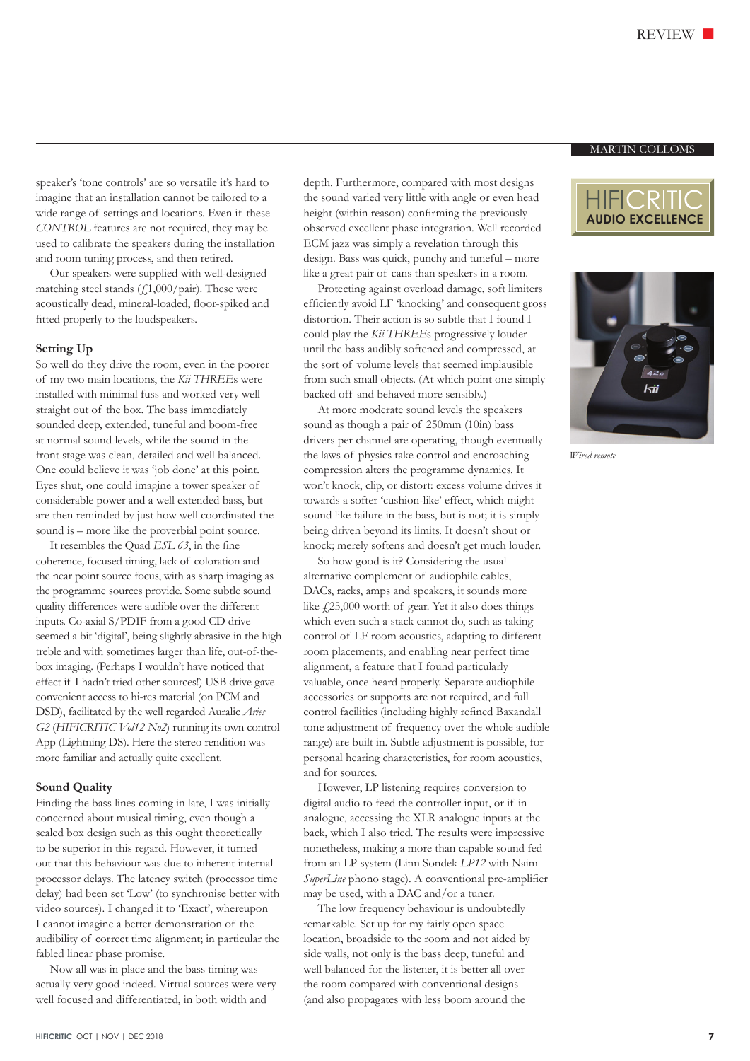speaker's 'tone controls' are so versatile it's hard to imagine that an installation cannot be tailored to a wide range of settings and locations. Even if these *CONTROL* features are not required, they may be used to calibrate the speakers during the installation and room tuning process, and then retired.

Our speakers were supplied with well-designed matching steel stands  $(f1,000/\text{pair})$ . These were acoustically dead, mineral-loaded, floor-spiked and fitted properly to the loudspeakers.

#### **Setting Up**

So well do they drive the room, even in the poorer of my two main locations, the *Kii THREE*s were installed with minimal fuss and worked very well straight out of the box. The bass immediately sounded deep, extended, tuneful and boom-free at normal sound levels, while the sound in the front stage was clean, detailed and well balanced. One could believe it was 'job done' at this point. Eyes shut, one could imagine a tower speaker of considerable power and a well extended bass, but are then reminded by just how well coordinated the sound is – more like the proverbial point source.

It resembles the Quad *ESL 63*, in the fine coherence, focused timing, lack of coloration and the near point source focus, with as sharp imaging as the programme sources provide. Some subtle sound quality differences were audible over the different inputs. Co-axial S/PDIF from a good CD drive seemed a bit 'digital', being slightly abrasive in the high treble and with sometimes larger than life, out-of-thebox imaging. (Perhaps I wouldn't have noticed that effect if I hadn't tried other sources!) USB drive gave convenient access to hi-res material (on PCM and DSD), facilitated by the well regarded Auralic *Aries G2* (*HIFICRITIC Vol12 No2*) running its own control App (Lightning DS). Here the stereo rendition was more familiar and actually quite excellent.

#### **Sound Quality**

Finding the bass lines coming in late, I was initially concerned about musical timing, even though a sealed box design such as this ought theoretically to be superior in this regard. However, it turned out that this behaviour was due to inherent internal processor delays. The latency switch (processor time delay) had been set 'Low' (to synchronise better with video sources). I changed it to 'Exact', whereupon I cannot imagine a better demonstration of the audibility of correct time alignment; in particular the fabled linear phase promise.

Now all was in place and the bass timing was actually very good indeed. Virtual sources were very well focused and differentiated, in both width and

depth. Furthermore, compared with most designs the sound varied very little with angle or even head height (within reason) confirming the previously observed excellent phase integration. Well recorded ECM jazz was simply a revelation through this design. Bass was quick, punchy and tuneful – more like a great pair of cans than speakers in a room.

Protecting against overload damage, soft limiters efficiently avoid LF 'knocking' and consequent gross distortion. Their action is so subtle that I found I could play the *Kii THREE*s progressively louder until the bass audibly softened and compressed, at the sort of volume levels that seemed implausible from such small objects. (At which point one simply backed off and behaved more sensibly.)

At more moderate sound levels the speakers sound as though a pair of 250mm (10in) bass drivers per channel are operating, though eventually the laws of physics take control and encroaching compression alters the programme dynamics. It won't knock, clip, or distort: excess volume drives it towards a softer 'cushion-like' effect, which might sound like failure in the bass, but is not; it is simply being driven beyond its limits. It doesn't shout or knock; merely softens and doesn't get much louder.

So how good is it? Considering the usual alternative complement of audiophile cables, DACs, racks, amps and speakers, it sounds more like  $\text{\emph{f}}(25,000)$  worth of gear. Yet it also does things which even such a stack cannot do, such as taking control of LF room acoustics, adapting to different room placements, and enabling near perfect time alignment, a feature that I found particularly valuable, once heard properly. Separate audiophile accessories or supports are not required, and full control facilities (including highly refined Baxandall tone adjustment of frequency over the whole audible range) are built in. Subtle adjustment is possible, for personal hearing characteristics, for room acoustics, and for sources.

However, LP listening requires conversion to digital audio to feed the controller input, or if in analogue, accessing the XLR analogue inputs at the back, which I also tried. The results were impressive nonetheless, making a more than capable sound fed from an LP system (Linn Sondek *LP12* with Naim *SuperLine* phono stage). A conventional pre-amplifier may be used, with a DAC and/or a tuner.

The low frequency behaviour is undoubtedly remarkable. Set up for my fairly open space location, broadside to the room and not aided by side walls, not only is the bass deep, tuneful and well balanced for the listener, it is better all over the room compared with conventional designs (and also propagates with less boom around the

## MARTIN COLLOMS





*Wired remote*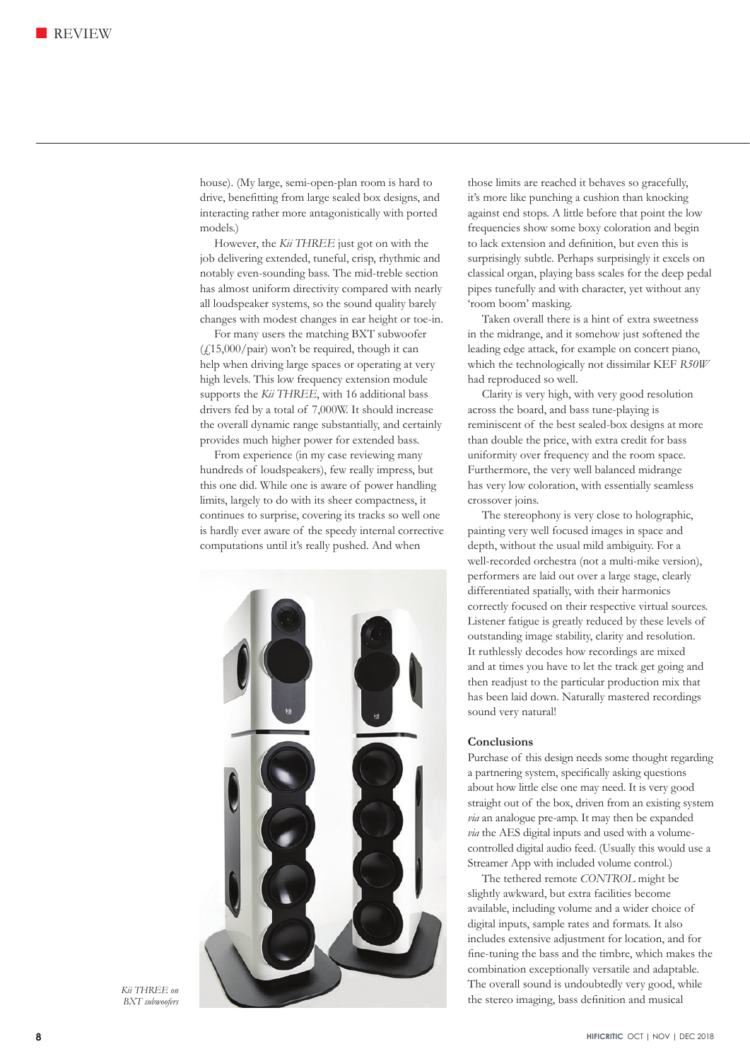house). (My large, semi-open-plan room is hard to drive, benefitting from large sealed box designs, and interacting rather more antagonistically with ported models.)

However, the *Kii THREE* just got on with the job delivering extended, tuneful, crisp, rhythmic and notably even-sounding bass. The mid-treble section has almost uniform directivity compared with nearly all loudspeaker systems, so the sound quality barely changes with modest changes in ear height or toe-in.

For many users the matching BXT subwoofer  $(f(15,000/\text{pair})$  won't be required, though it can help when driving large spaces or operating at very high levels. This low frequency extension module supports the *Kii THREE*, with 16 additional bass drivers fed by a total of 7,000W. It should increase the overall dynamic range substantially, and certainly provides much higher power for extended bass.

From experience (in my case reviewing many hundreds of loudspeakers), few really impress, but this one did. While one is aware of power handling limits, largely to do with its sheer compactness, it continues to surprise, covering its tracks so well one is hardly ever aware of the speedy internal corrective computations until it's really pushed. And when



*Kii THREE on BXT subwoofers*

those limits are reached it behaves so gracefully, it's more like punching a cushion than knocking against end stops. A little before that point the low frequencies show some boxy coloration and begin to lack extension and definition, but even this is surprisingly subtle. Perhaps surprisingly it excels on classical organ, playing bass scales for the deep pedal pipes tunefully and with character, yet without any 'room boom' masking.

Taken overall there is a hint of extra sweetness in the midrange, and it somehow just softened the leading edge attack, for example on concert piano, which the technologically not dissimilar KEF *R50W* had reproduced so well.

Clarity is very high, with very good resolution across the board, and bass tune-playing is reminiscent of the best sealed-box designs at more than double the price, with extra credit for bass uniformity over frequency and the room space. Furthermore, the very well balanced midrange has very low coloration, with essentially seamless crossover joins.

The stereophony is very close to holographic, painting very well focused images in space and depth, without the usual mild ambiguity. For a well-recorded orchestra (not a multi-mike version), performers are laid out over a large stage, clearly differentiated spatially, with their harmonics correctly focused on their respective virtual sources. Listener fatigue is greatly reduced by these levels of outstanding image stability, clarity and resolution. It ruthlessly decodes how recordings are mixed and at times you have to let the track get going and then readjust to the particular production mix that has been laid down. Naturally mastered recordings sound very natural!

### **Conclusions**

Purchase of this design needs some thought regarding a partnering system, specifically asking questions about how little else one may need. It is very good straight out of the box, driven from an existing system *via* an analogue pre-amp. It may then be expanded *via* the AES digital inputs and used with a volumecontrolled digital audio feed. (Usually this would use a Streamer App with included volume control.)

The tethered remote *CONTROL* might be slightly awkward, but extra facilities become available, including volume and a wider choice of digital inputs, sample rates and formats. It also includes extensive adjustment for location, and for fine-tuning the bass and the timbre, which makes the combination exceptionally versatile and adaptable. The overall sound is undoubtedly very good, while the stereo imaging, bass definition and musical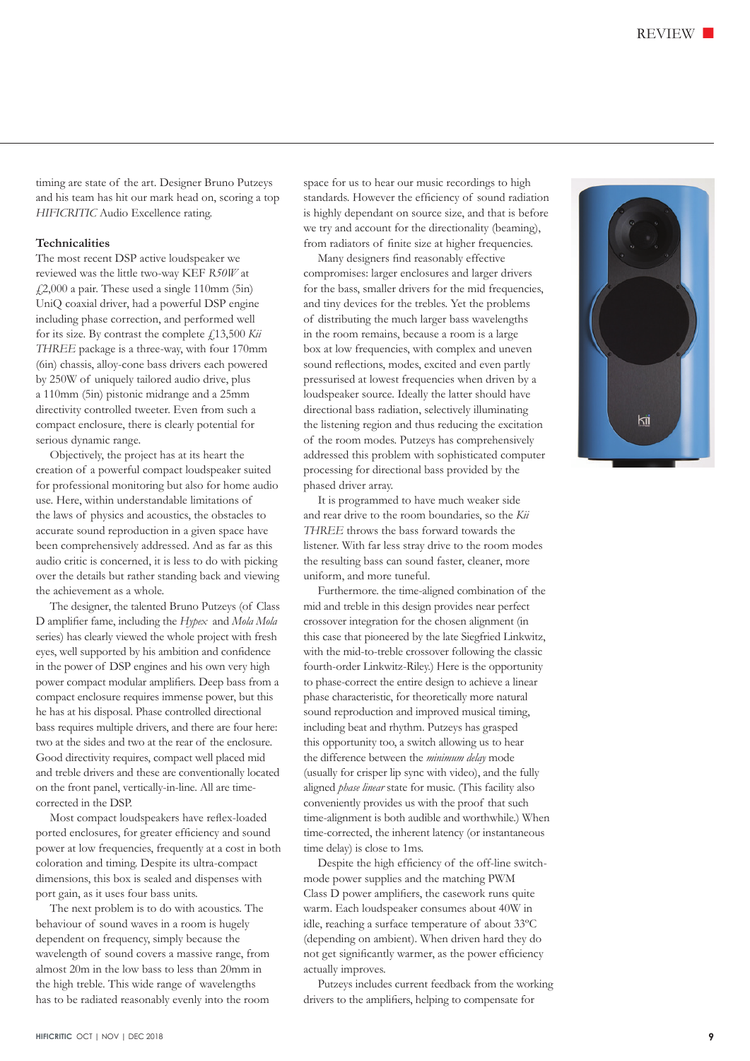timing are state of the art. Designer Bruno Putzeys and his team has hit our mark head on, scoring a top *HIFICRITIC* Audio Excellence rating.

# **Technicalities**

The most recent DSP active loudspeaker we reviewed was the little two-way KEF *R50W* at  $\text{\emph{4}}2,000$  a pair. These used a single 110mm (5in) UniQ coaxial driver, had a powerful DSP engine including phase correction, and performed well for its size. By contrast the complete £13,500 *Kii THREE* package is a three-way, with four 170mm (6in) chassis, alloy-cone bass drivers each powered by 250W of uniquely tailored audio drive, plus a 110mm (5in) pistonic midrange and a 25mm directivity controlled tweeter. Even from such a compact enclosure, there is clearly potential for serious dynamic range.

Objectively, the project has at its heart the creation of a powerful compact loudspeaker suited for professional monitoring but also for home audio use. Here, within understandable limitations of the laws of physics and acoustics, the obstacles to accurate sound reproduction in a given space have been comprehensively addressed. And as far as this audio critic is concerned, it is less to do with picking over the details but rather standing back and viewing the achievement as a whole.

The designer, the talented Bruno Putzeys (of Class D amplifier fame, including the *Hypex* and *Mola Mola* series) has clearly viewed the whole project with fresh eyes, well supported by his ambition and confidence in the power of DSP engines and his own very high power compact modular amplifiers. Deep bass from a compact enclosure requires immense power, but this he has at his disposal. Phase controlled directional bass requires multiple drivers, and there are four here: two at the sides and two at the rear of the enclosure. Good directivity requires, compact well placed mid and treble drivers and these are conventionally located on the front panel, vertically-in-line. All are timecorrected in the DSP.

Most compact loudspeakers have reflex-loaded ported enclosures, for greater efficiency and sound power at low frequencies, frequently at a cost in both coloration and timing. Despite its ultra-compact dimensions, this box is sealed and dispenses with port gain, as it uses four bass units.

The next problem is to do with acoustics. The behaviour of sound waves in a room is hugely dependent on frequency, simply because the wavelength of sound covers a massive range, from almost 20m in the low bass to less than 20mm in the high treble. This wide range of wavelengths has to be radiated reasonably evenly into the room

space for us to hear our music recordings to high standards. However the efficiency of sound radiation is highly dependant on source size, and that is before we try and account for the directionality (beaming), from radiators of finite size at higher frequencies.

Many designers find reasonably effective compromises: larger enclosures and larger drivers for the bass, smaller drivers for the mid frequencies, and tiny devices for the trebles. Yet the problems of distributing the much larger bass wavelengths in the room remains, because a room is a large box at low frequencies, with complex and uneven sound reflections, modes, excited and even partly pressurised at lowest frequencies when driven by a loudspeaker source. Ideally the latter should have directional bass radiation, selectively illuminating the listening region and thus reducing the excitation of the room modes. Putzeys has comprehensively addressed this problem with sophisticated computer processing for directional bass provided by the phased driver array.

It is programmed to have much weaker side and rear drive to the room boundaries, so the *Kii THREE* throws the bass forward towards the listener. With far less stray drive to the room modes the resulting bass can sound faster, cleaner, more uniform, and more tuneful.

Furthermore. the time-aligned combination of the mid and treble in this design provides near perfect crossover integration for the chosen alignment (in this case that pioneered by the late Siegfried Linkwitz, with the mid-to-treble crossover following the classic fourth-order Linkwitz-Riley.) Here is the opportunity to phase-correct the entire design to achieve a linear phase characteristic, for theoretically more natural sound reproduction and improved musical timing, including beat and rhythm. Putzeys has grasped this opportunity too, a switch allowing us to hear the difference between the *minimum delay* mode (usually for crisper lip sync with video), and the fully aligned *phase linear* state for music. (This facility also conveniently provides us with the proof that such time-alignment is both audible and worthwhile.) When time-corrected, the inherent latency (or instantaneous time delay) is close to 1ms.

Despite the high efficiency of the off-line switchmode power supplies and the matching PWM Class D power amplifiers, the casework runs quite warm. Each loudspeaker consumes about 40W in idle, reaching a surface temperature of about 33ºC (depending on ambient). When driven hard they do not get significantly warmer, as the power efficiency actually improves.

Putzeys includes current feedback from the working drivers to the amplifiers, helping to compensate for

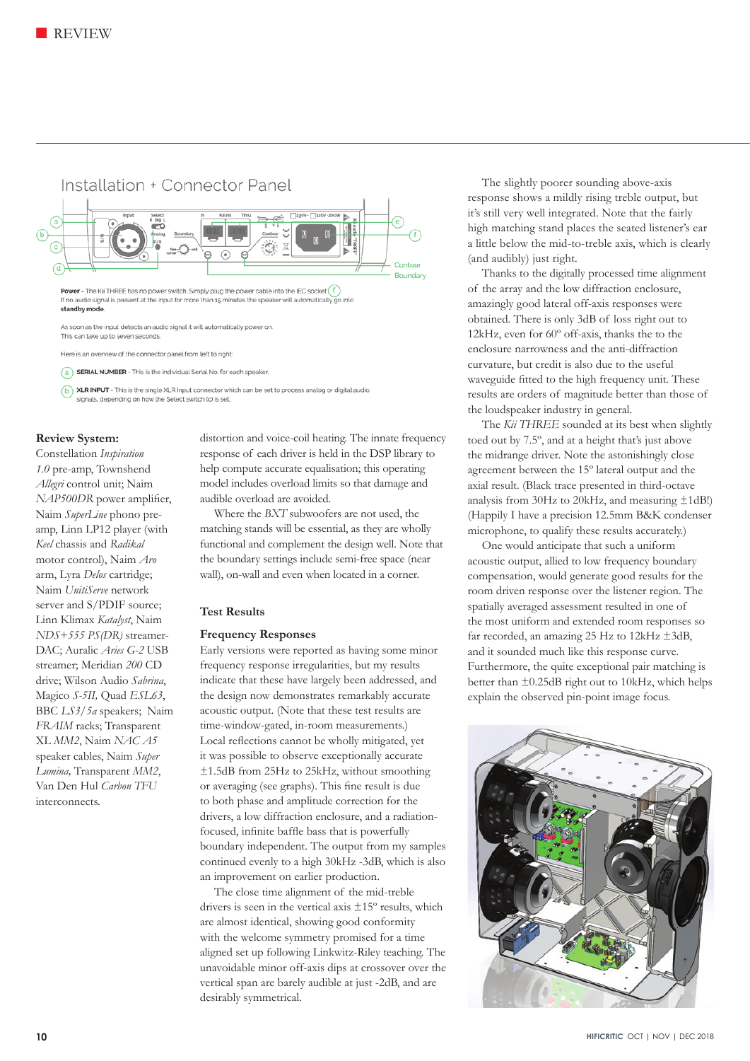

Here is an overview of the connector panel from left to right:

(a) **SERIAL NUMBER** - This is the individual Serial No. for each speaker

(b) XLR INPUT - This is the single XLR Input connector which can be set to process analog or digital audio signals, depending on how the Select switch (c) is set.

# **Review System:**

Constellation *Inspiration 1.0* pre-amp, Townshend *Allegri* control unit; Naim *NAP500DR* power amplifier, Naim *SuperLine* phono preamp, Linn LP12 player (with *Keel* chassis and *Radikal*  motor control), Naim *Aro* arm, Lyra *Delos* cartridge; Naim *UnitiServe* network server and S/PDIF source; Linn Klimax *Katalyst*, Naim *NDS+555 PS(DR)* streamer-DAC; Auralic *Aries G-2* USB streamer; Meridian *200* CD drive; Wilson Audio *Sabrina*, Magico *S-5II,* Quad *ESL63*, BBC *LS3/5a* speakers; Naim *FRAIM* racks; Transparent XL *MM2*, Naim *NAC A5* speaker cables, Naim *Super Lumina,* Transparent *MM2*, Van Den Hul *Carbon TFU* interconnects.

distortion and voice-coil heating. The innate frequency response of each driver is held in the DSP library to help compute accurate equalisation; this operating model includes overload limits so that damage and audible overload are avoided.

Where the *BXT* subwoofers are not used, the matching stands will be essential, as they are wholly functional and complement the design well. Note that the boundary settings include semi-free space (near wall), on-wall and even when located in a corner.

# **Test Results**

#### **Frequency Responses**

Early versions were reported as having some minor frequency response irregularities, but my results indicate that these have largely been addressed, and the design now demonstrates remarkably accurate acoustic output. (Note that these test results are time-window-gated, in-room measurements.) Local reflections cannot be wholly mitigated, yet it was possible to observe exceptionally accurate ±1.5dB from 25Hz to 25kHz, without smoothing or averaging (see graphs). This fine result is due to both phase and amplitude correction for the drivers, a low diffraction enclosure, and a radiationfocused, infinite baffle bass that is powerfully boundary independent. The output from my samples continued evenly to a high 30kHz -3dB, which is also an improvement on earlier production.

The close time alignment of the mid-treble drivers is seen in the vertical axis ±15º results, which are almost identical, showing good conformity with the welcome symmetry promised for a time aligned set up following Linkwitz-Riley teaching. The unavoidable minor off-axis dips at crossover over the vertical span are barely audible at just -2dB, and are desirably symmetrical.

The slightly poorer sounding above-axis response shows a mildly rising treble output, but it's still very well integrated. Note that the fairly high matching stand places the seated listener's ear a little below the mid-to-treble axis, which is clearly (and audibly) just right.

Thanks to the digitally processed time alignment of the array and the low diffraction enclosure, amazingly good lateral off-axis responses were obtained. There is only 3dB of loss right out to 12kHz, even for 60º off-axis, thanks the to the enclosure narrowness and the anti-diffraction curvature, but credit is also due to the useful waveguide fitted to the high frequency unit. These results are orders of magnitude better than those of the loudspeaker industry in general.

The *Kii THREE* sounded at its best when slightly toed out by 7.5º, and at a height that's just above the midrange driver. Note the astonishingly close agreement between the 15º lateral output and the axial result. (Black trace presented in third-octave analysis from 30Hz to 20kHz, and measuring ±1dB!) (Happily I have a precision 12.5mm B&K condenser microphone, to qualify these results accurately.)

One would anticipate that such a uniform acoustic output, allied to low frequency boundary compensation, would generate good results for the room driven response over the listener region. The spatially averaged assessment resulted in one of the most uniform and extended room responses so far recorded, an amazing 25 Hz to 12kHz ±3dB, and it sounded much like this response curve. Furthermore, the quite exceptional pair matching is better than ±0.25dB right out to 10kHz, which helps explain the observed pin-point image focus.